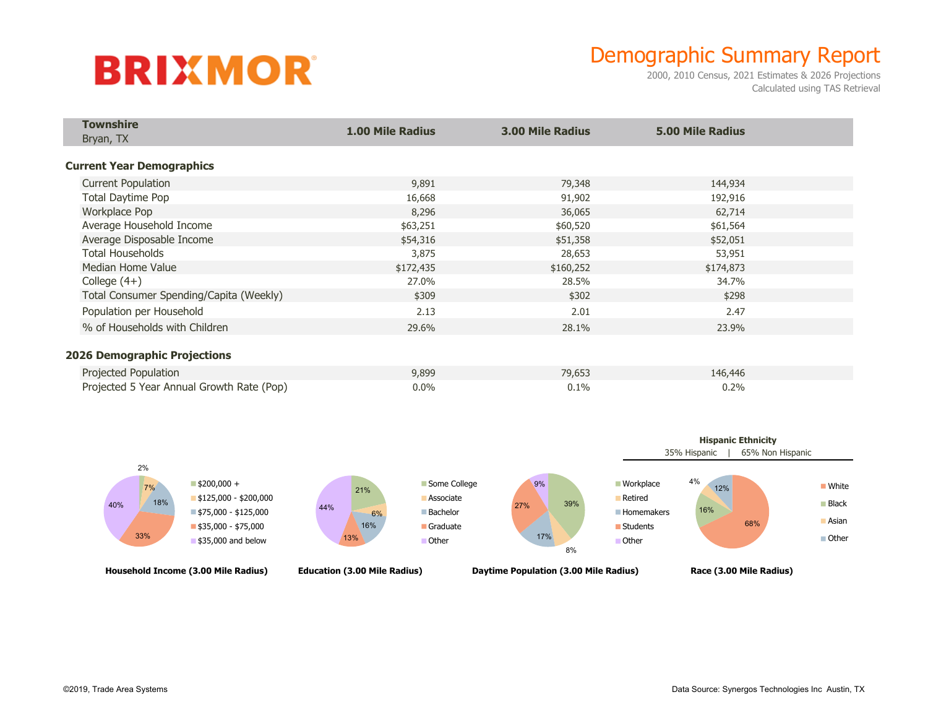## **BRIXMOR**

## Demographic Summary Report

2000, 2010 Census, 2021 Estimates & 2026 Projections Calculated using TAS Retrieval

| <b>Townshire</b>                          | <b>1.00 Mile Radius</b> |                         | <b>5.00 Mile Radius</b> |  |
|-------------------------------------------|-------------------------|-------------------------|-------------------------|--|
| Bryan, TX                                 |                         | <b>3.00 Mile Radius</b> |                         |  |
|                                           |                         |                         |                         |  |
| <b>Current Year Demographics</b>          |                         |                         |                         |  |
| <b>Current Population</b>                 | 9,891                   | 79,348                  | 144,934                 |  |
| Total Daytime Pop                         | 16,668                  | 91,902                  | 192,916                 |  |
| Workplace Pop                             | 8,296                   | 36,065                  | 62,714                  |  |
| Average Household Income                  | \$63,251                | \$60,520                | \$61,564                |  |
| Average Disposable Income                 | \$54,316                | \$51,358                | \$52,051                |  |
| <b>Total Households</b>                   | 3,875                   | 28,653                  | 53,951                  |  |
| Median Home Value                         | \$172,435               | \$160,252               | \$174,873               |  |
| College $(4+)$                            | 27.0%                   | 28.5%                   | 34.7%                   |  |
| Total Consumer Spending/Capita (Weekly)   | \$309                   | \$302                   | \$298                   |  |
| Population per Household                  | 2.13                    | 2.01                    | 2.47                    |  |
| % of Households with Children             | 29.6%                   | 28.1%                   | 23.9%                   |  |
|                                           |                         |                         |                         |  |
| <b>2026 Demographic Projections</b>       |                         |                         |                         |  |
| Projected Population                      | 9,899                   | 79,653                  | 146,446                 |  |
| Projected 5 Year Annual Growth Rate (Pop) | $0.0\%$                 | 0.1%                    | 0.2%                    |  |